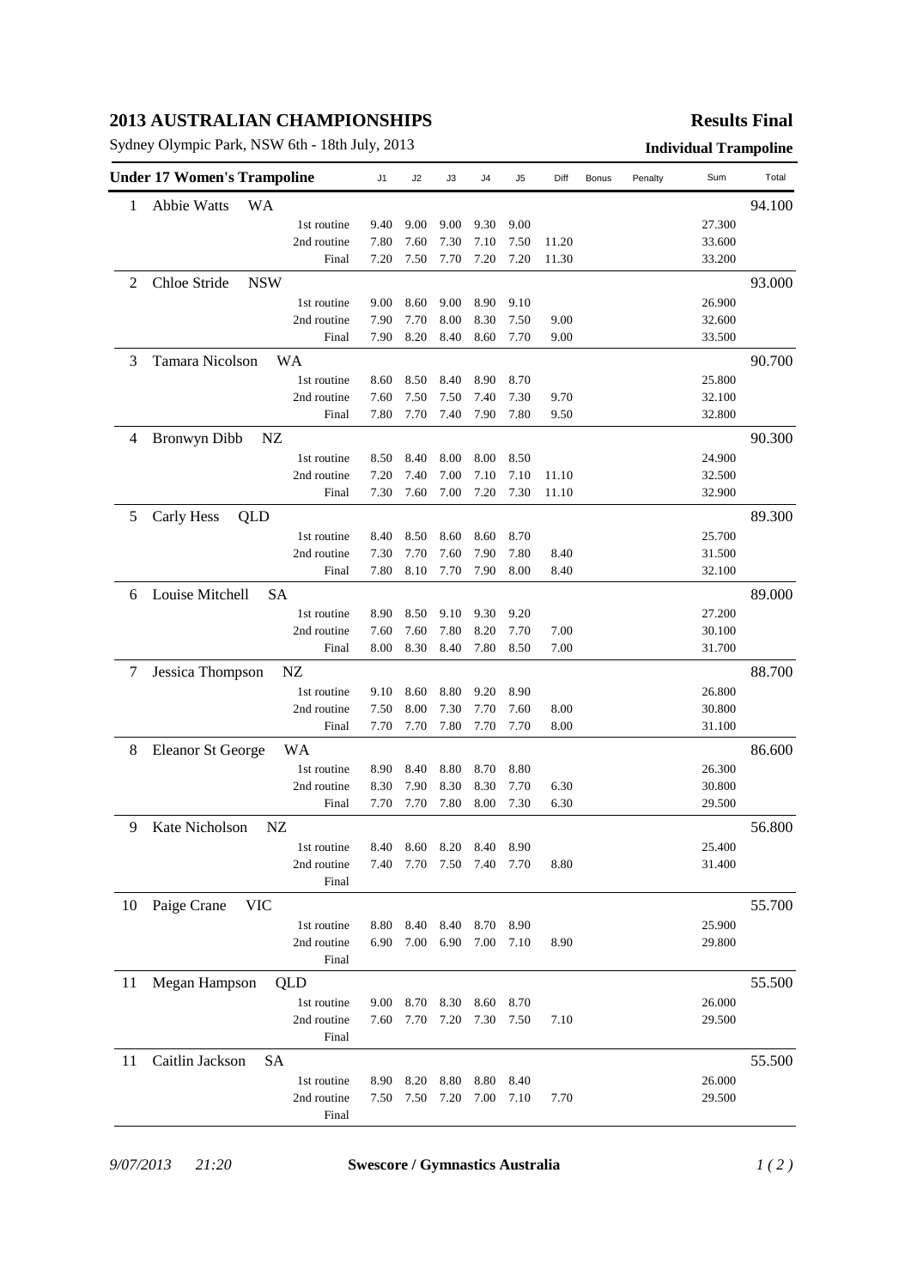## **2013 AUSTRALIAN CHAMPIONSHIPS**

Sydney Olympic Park, NSW 6th - 18th July, 2013 **Individual Trampoline**

## **Results Final**

|    | <b>Under 17 Women's Trampoline</b> |                            | J <sub>1</sub> | J2           | JЗ           | J4           | J5           | Diff         | Bonus | Penalty | Sum              | Total  |
|----|------------------------------------|----------------------------|----------------|--------------|--------------|--------------|--------------|--------------|-------|---------|------------------|--------|
| 1  | <b>Abbie Watts</b><br><b>WA</b>    |                            |                |              |              |              |              |              |       |         |                  | 94.100 |
|    |                                    | 1st routine                | 9.40           | 9.00         | 9.00         | 9.30         | 9.00         |              |       |         | 27.300           |        |
|    |                                    | 2nd routine                | 7.80           | 7.60         | 7.30         | 7.10         | 7.50         | 11.20        |       |         | 33.600           |        |
|    |                                    | Final                      | 7.20           | 7.50         | 7.70         | 7.20         | 7.20         | 11.30        |       |         | 33.200           |        |
| 2  | Chloe Stride<br><b>NSW</b>         |                            |                |              |              |              |              |              |       |         | 93.000           |        |
|    |                                    | 1st routine                | 9.00           | 8.60         | 9.00         | 8.90         | 9.10         |              |       |         | 26.900           |        |
|    |                                    | 2nd routine                | 7.90           | 7.70         | 8.00         | 8.30         | 7.50         | 9.00         |       |         | 32.600           |        |
|    |                                    | Final                      | 7.90           | 8.20         | 8.40         | 8.60         | 7.70         | 9.00         |       |         | 33.500           |        |
| 3  | Tamara Nicolson                    |                            |                |              |              |              |              |              |       |         | 90.700           |        |
|    |                                    | 1st routine                | 8.60           | 8.50         | 8.40         | 8.90         | 8.70         |              |       |         | 25.800           |        |
|    |                                    | 2nd routine                | 7.60           | 7.50         | 7.50         | 7.40         | 7.30         | 9.70         |       |         | 32.100           |        |
|    |                                    | Final                      | 7.80           | 7.70         | 7.40         | 7.90         | 7.80         | 9.50         |       |         | 32.800           |        |
| 4  | Bronwyn Dibb<br>NZ                 |                            |                |              |              |              |              |              |       |         |                  | 90.300 |
|    |                                    | 1st routine                | 8.50           | 8.40         | 8.00         | 8.00         | 8.50         |              |       |         | 24.900           |        |
|    |                                    | 2nd routine                | 7.20           | 7.40         | 7.00         | 7.10         | 7.10         | 11.10        |       |         | 32.500           |        |
|    |                                    | Final                      | 7.30           | 7.60         | 7.00         | 7.20         | 7.30         | 11.10        |       |         | 32.900           |        |
| 5  | Carly Hess<br>QLD                  |                            |                |              |              |              |              |              |       |         |                  | 89.300 |
|    |                                    | 1st routine                | 8.40           | 8.50         | 8.60         | 8.60         | 8.70         |              |       |         | 25.700           |        |
|    |                                    | 2nd routine                | 7.30           | 7.70         | 7.60         | 7.90         | 7.80         | 8.40         |       |         | 31.500           |        |
|    |                                    | Final                      | 7.80           | 8.10         | 7.70         | 7.90         | 8.00         | 8.40         |       |         | 32.100           |        |
| 6  | Louise Mitchell                    | SA                         |                |              |              |              |              |              |       |         |                  | 89.000 |
|    |                                    |                            |                |              |              |              |              |              |       |         |                  |        |
|    |                                    | 1st routine<br>2nd routine | 8.90<br>7.60   | 8.50<br>7.60 | 9.10<br>7.80 | 9.30<br>8.20 | 9.20<br>7.70 | 7.00         |       |         | 27.200<br>30.100 |        |
|    |                                    | Final                      | 8.00           | 8.30         | 8.40         | 7.80         | 8.50         | 7.00         |       |         | 31.700           |        |
|    |                                    |                            |                |              |              |              |              |              |       |         |                  |        |
| 7  | Jessica Thompson                   | NZ                         |                |              |              |              |              |              |       |         |                  | 88.700 |
|    |                                    | 1st routine                | 9.10           | 8.60         | 8.80         | 9.20         | 8.90         |              |       |         | 26.800           |        |
|    |                                    | 2nd routine<br>Final       | 7.50<br>7.70   | 8.00<br>7.70 | 7.30<br>7.80 | 7.70<br>7.70 | 7.60<br>7.70 | 8.00<br>8.00 |       |         | 30.800<br>31.100 |        |
|    |                                    |                            |                |              |              |              |              |              |       |         |                  |        |
| 8  | <b>Eleanor St George</b>           | WA                         |                |              |              |              |              |              |       |         |                  | 86.600 |
|    |                                    | 1st routine                | 8.90           | 8.40         | 8.80         | 8.70         | 8.80         |              |       |         | 26.300           |        |
|    |                                    | 2nd routine                | 8.30           | 7.90         | 8.30         | 8.30         | 7.70         | 6.30         |       |         | 30.800           |        |
|    |                                    | Final                      | 7.70           | 7.70         | 7.80         | 8.00         | 7.30         | 6.30         |       |         | 29.500           |        |
| 9  | Kate Nicholson                     | NZ                         |                |              |              |              |              |              |       |         |                  | 56.800 |
|    |                                    | 1st routine                | 8.40           | 8.60         | 8.20         |              | 8.40 8.90    |              |       |         | 25.400           |        |
|    |                                    | 2nd routine                | 7.40           | 7.70         | 7.50 7.40    |              | 7.70         | 8.80         |       |         | 31.400           |        |
|    |                                    | Final                      |                |              |              |              |              |              |       |         |                  |        |
| 10 | Paige Crane<br><b>VIC</b>          |                            |                |              |              |              |              |              |       |         |                  | 55.700 |
|    |                                    | 1st routine                | 8.80           | 8.40         | 8.40         | 8.70         | 8.90         |              |       |         | 25.900           |        |
|    |                                    | 2nd routine                | 6.90           | 7.00         | 6.90         | 7.00         | 7.10         | 8.90         |       |         | 29.800           |        |
|    |                                    | Final                      |                |              |              |              |              |              |       |         |                  |        |
| 11 | Megan Hampson                      | QLD                        |                |              |              |              |              |              |       |         |                  | 55.500 |
|    |                                    | 1st routine                | 9.00           | 8.70         | 8.30         | 8.60         | 8.70         |              |       |         | 26.000           |        |
|    |                                    | 2nd routine                | 7.60           | 7.70         | 7.20         | 7.30         | 7.50         | 7.10         |       |         | 29.500           |        |
|    |                                    | Final                      |                |              |              |              |              |              |       |         |                  |        |
| 11 | Caitlin Jackson<br>SA              |                            |                |              |              |              |              |              |       |         |                  | 55.500 |
|    |                                    | 1st routine                | 8.90           | 8.20         | 8.80         | 8.80         | 8.40         |              |       |         | 26.000           |        |
|    |                                    | 2nd routine                | 7.50           | 7.50         | 7.20         | 7.00         | 7.10         | 7.70         |       |         | 29.500           |        |
|    |                                    | Final                      |                |              |              |              |              |              |       |         |                  |        |

*9/07/2013 21:20* **Swescore / Gymnastics Australia** *1 ( 2 )*